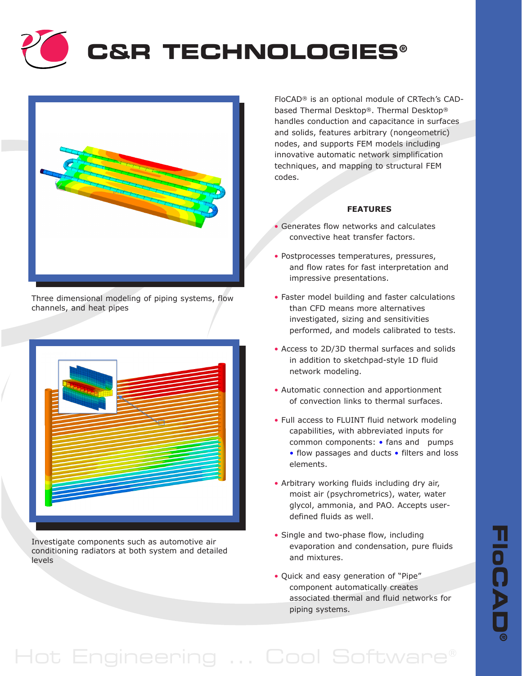



Three dimensional modeling of piping systems, flow channels, and heat pipes



Investigate components such as automotive air conditioning radiators at both system and detailed levels

FloCAD® is an optional module of CRTech's CADbased Thermal Desktop®. Thermal Desktop® handles conduction and capacitance in surfaces and solids, features arbitrary (nongeometric) nodes, and supports FEM models including innovative automatic network simplification techniques, and mapping to structural FEM codes.

## **FEATURES**

- Generates flow networks and calculates convective heat transfer factors.
- Postprocesses temperatures, pressures, and flow rates for fast interpretation and impressive presentations.
- Faster model building and faster calculations than CFD means more alternatives investigated, sizing and sensitivities performed, and models calibrated to tests.
- Access to 2D/3D thermal surfaces and solids in addition to sketchpad-style 1D fluid network modeling.
- Automatic connection and apportionment of convection links to thermal surfaces.
- Full access to FLUINT fluid network modeling capabilities, with abbreviated inputs for common components: • fans and pumps • flow passages and ducts • filters and loss elements.
- Arbitrary working fluids including dry air, moist air (psychrometrics), water, water glycol, ammonia, and PAO. Accepts userdefined fluids as well.
- Single and two-phase flow, including evaporation and condensation, pure fluids and mixtures.
- Quick and easy generation of "Pipe" component automatically creates associated thermal and fluid networks for piping systems.

## Hot Engineering ... Cool Software